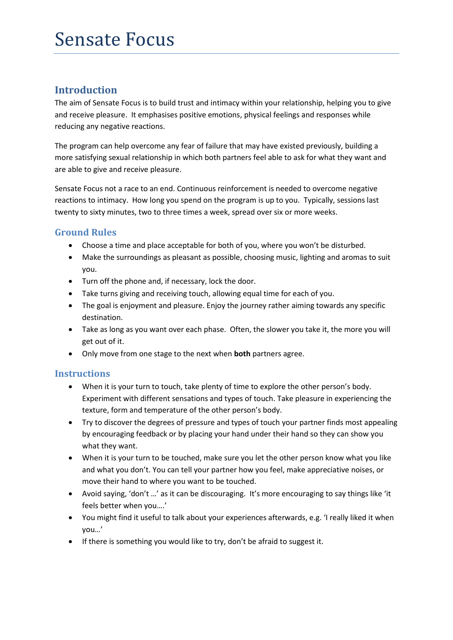# Sensate Focus

## **Introduction**

The aim of Sensate Focus is to build trust and intimacy within your relationship, helping you to give and receive pleasure. It emphasises positive emotions, physical feelings and responses while reducing any negative reactions.

The program can help overcome any fear of failure that may have existed previously, building a more satisfying sexual relationship in which both partners feel able to ask for what they want and are able to give and receive pleasure.

Sensate Focus not a race to an end. Continuous reinforcement is needed to overcome negative reactions to intimacy. How long you spend on the program is up to you. Typically, sessions last twenty to sixty minutes, two to three times a week, spread over six or more weeks.

## **Ground Rules**

- Choose a time and place acceptable for both of you, where you won't be disturbed.
- Make the surroundings as pleasant as possible, choosing music, lighting and aromas to suit you.
- Turn off the phone and, if necessary, lock the door.
- Take turns giving and receiving touch, allowing equal time for each of you.
- The goal is enjoyment and pleasure. Enjoy the journey rather aiming towards any specific destination.
- Take as long as you want over each phase. Often, the slower you take it, the more you will get out of it.
- Only move from one stage to the next when **both** partners agree.

## **Instructions**

- When it is your turn to touch, take plenty of time to explore the other person's body. Experiment with different sensations and types of touch. Take pleasure in experiencing the texture, form and temperature of the other person's body.
- Try to discover the degrees of pressure and types of touch your partner finds most appealing by encouraging feedback or by placing your hand under their hand so they can show you what they want.
- When it is your turn to be touched, make sure you let the other person know what you like and what you don't. You can tell your partner how you feel, make appreciative noises, or move their hand to where you want to be touched.
- Avoid saying, 'don't …' as it can be discouraging. It's more encouraging to say things like 'it feels better when you….'
- You might find it useful to talk about your experiences afterwards, e.g. 'I really liked it when you…'
- If there is something you would like to try, don't be afraid to suggest it.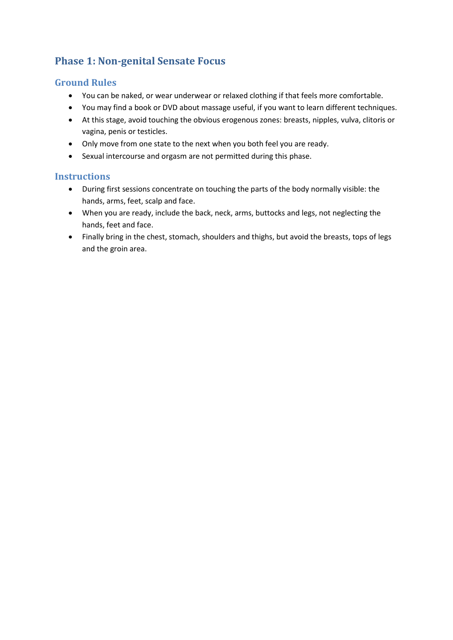## **Phase 1: Non-genital Sensate Focus**

## **Ground Rules**

- You can be naked, or wear underwear or relaxed clothing if that feels more comfortable.
- You may find a book or DVD about massage useful, if you want to learn different techniques.
- At this stage, avoid touching the obvious erogenous zones: breasts, nipples, vulva, clitoris or vagina, penis or testicles.
- Only move from one state to the next when you both feel you are ready.
- Sexual intercourse and orgasm are not permitted during this phase.

## **Instructions**

- During first sessions concentrate on touching the parts of the body normally visible: the hands, arms, feet, scalp and face.
- When you are ready, include the back, neck, arms, buttocks and legs, not neglecting the hands, feet and face.
- Finally bring in the chest, stomach, shoulders and thighs, but avoid the breasts, tops of legs and the groin area.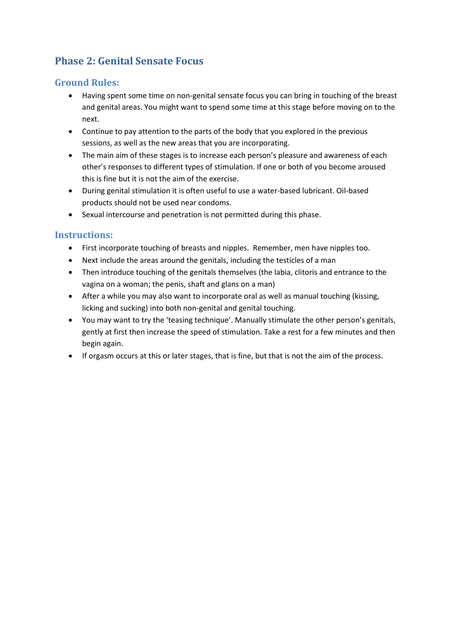## **Phase 2: Genital Sensate Focus**

## **Ground Rules:**

- Having spent some time on non-genital sensate focus you can bring in touching of the breast and genital areas. You might want to spend some time at this stage before moving on to the next.
- Continue to pay attention to the parts of the body that you explored in the previous sessions, as well as the new areas that you are incorporating.
- The main aim of these stages is to increase each person's pleasure and awareness of each other's responses to different types of stimulation. If one or both of you become aroused this is fine but it is not the aim of the exercise.
- During genital stimulation it is often useful to use a water-based lubricant. Oil-based products should not be used near condoms.
- Sexual intercourse and penetration is not permitted during this phase.

## **Instructions:**

- First incorporate touching of breasts and nipples. Remember, men have nipples too.
- Next include the areas around the genitals, including the testicles of a man
- Then introduce touching of the genitals themselves (the labia, clitoris and entrance to the vagina on a woman; the penis, shaft and glans on a man)
- After a while you may also want to incorporate oral as well as manual touching (kissing, licking and sucking) into both non-genital and genital touching.
- You may want to try the 'teasing technique'. Manually stimulate the other person's genitals, gently at first then increase the speed of stimulation. Take a rest for a few minutes and then begin again.
- If orgasm occurs at this or later stages, that is fine, but that is not the aim of the process.